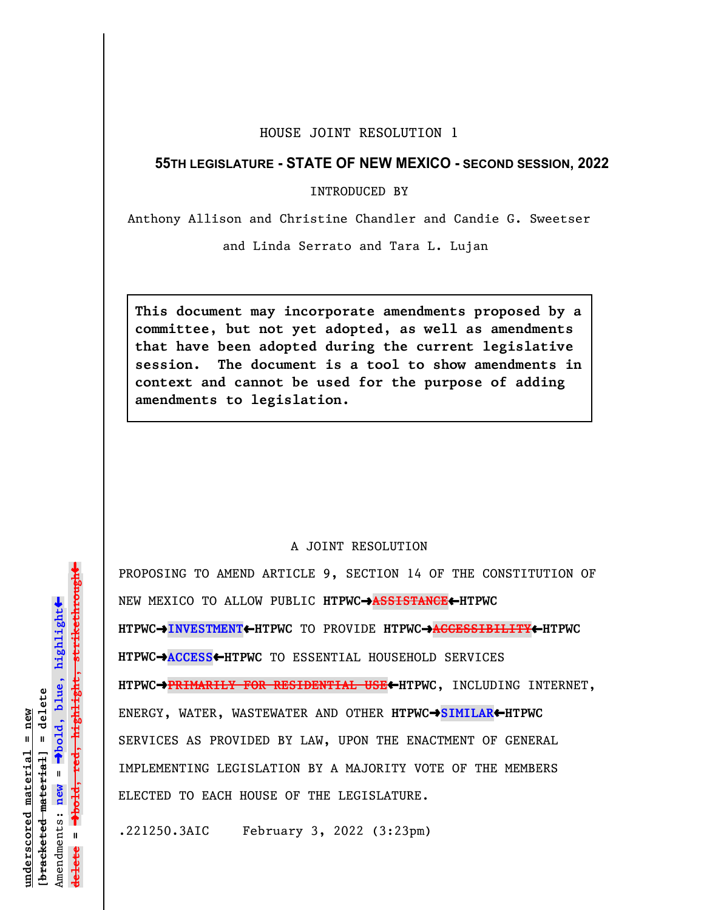## HOUSE JOINT RESOLUTION 1

## **55TH LEGISLATURE - STATE OF NEW MEXICO - SECOND SESSION, 2022**

INTRODUCED BY

Anthony Allison and Christine Chandler and Candie G. Sweetser

and Linda Serrato and Tara L. Lujan

**This document may incorporate amendments proposed by a committee, but not yet adopted, as well as amendments that have been adopted during the current legislative session. The document is a tool to show amendments in context and cannot be used for the purpose of adding amendments to legislation.**

## A JOINT RESOLUTION

PROPOSING TO AMEND ARTICLE 9, SECTION 14 OF THE CONSTITUTION OF NEW MEXICO TO ALLOW PUBLIC **HTPWC**º**ASSISTANCE**»**HTPWC HTPWC**º**INVESTMENT**»**HTPWC** TO PROVIDE **HTPWC**º**ACCESSIBILITY**»**HTPWC HTPWC**º**ACCESS**»**HTPWC** TO ESSENTIAL HOUSEHOLD SERVICES **HTPWC**º**PRIMARILY FOR RESIDENTIAL USE**»**HTPWC**, INCLUDING INTERNET, ENERGY, WATER, WASTEWATER AND OTHER **HTPWC**º**SIMILAR**»**HTPWC** SERVICES AS PROVIDED BY LAW, UPON THE ENACTMENT OF GENERAL IMPLEMENTING LEGISLATION BY A MAJORITY VOTE OF THE MEMBERS ELECTED TO EACH HOUSE OF THE LEGISLATURE.

.221250.3AIC February 3, 2022 (3:23pm)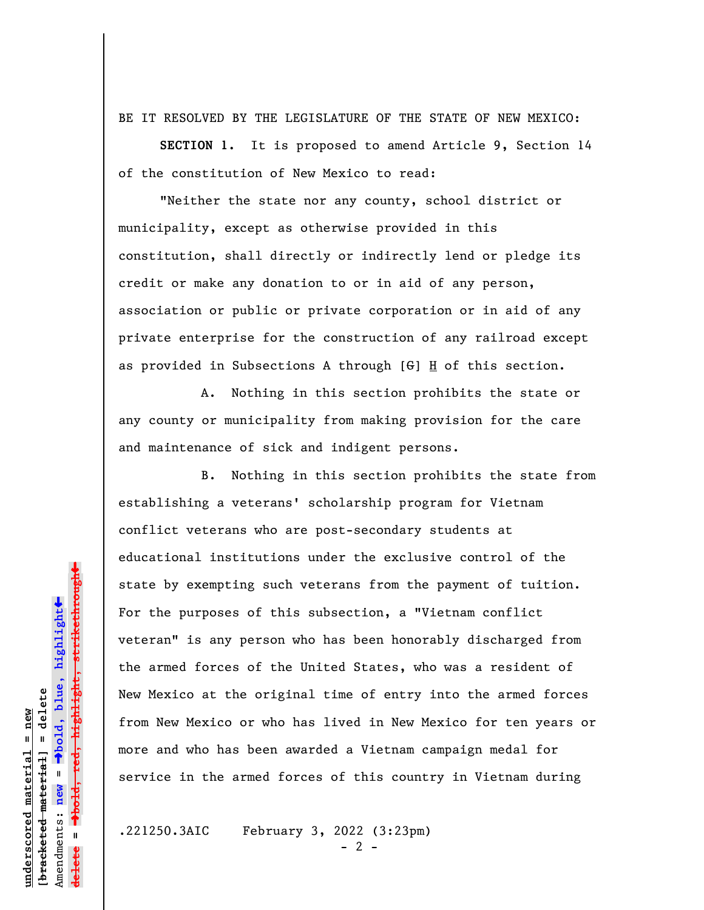BE IT RESOLVED BY THE LEGISLATURE OF THE STATE OF NEW MEXICO:

**SECTION 1.** It is proposed to amend Article 9, Section 14 of the constitution of New Mexico to read:

"Neither the state nor any county, school district or municipality, except as otherwise provided in this constitution, shall directly or indirectly lend or pledge its credit or make any donation to or in aid of any person, association or public or private corporation or in aid of any private enterprise for the construction of any railroad except as provided in Subsections A through  $[G]$  H of this section.

A. Nothing in this section prohibits the state or any county or municipality from making provision for the care and maintenance of sick and indigent persons.

B. Nothing in this section prohibits the state from establishing a veterans' scholarship program for Vietnam conflict veterans who are post-secondary students at educational institutions under the exclusive control of the state by exempting such veterans from the payment of tuition. For the purposes of this subsection, a "Vietnam conflict veteran" is any person who has been honorably discharged from the armed forces of the United States, who was a resident of New Mexico at the original time of entry into the armed forces from New Mexico or who has lived in New Mexico for ten years or more and who has been awarded a Vietnam campaign medal for service in the armed forces of this country in Vietnam during

.221250.3AIC February 3, 2022 (3:23pm)

 $- 2 -$ 

 $\ddag$ º**bold, red, highlight, strikethrough**  $\ddot{\bullet}$ º**bold, blue, highlight** bracketed material = delete **[bracketed material] = delete** inderscored material = new **underscored material = new** Amendments: new = Amendments: **new** = **delete =**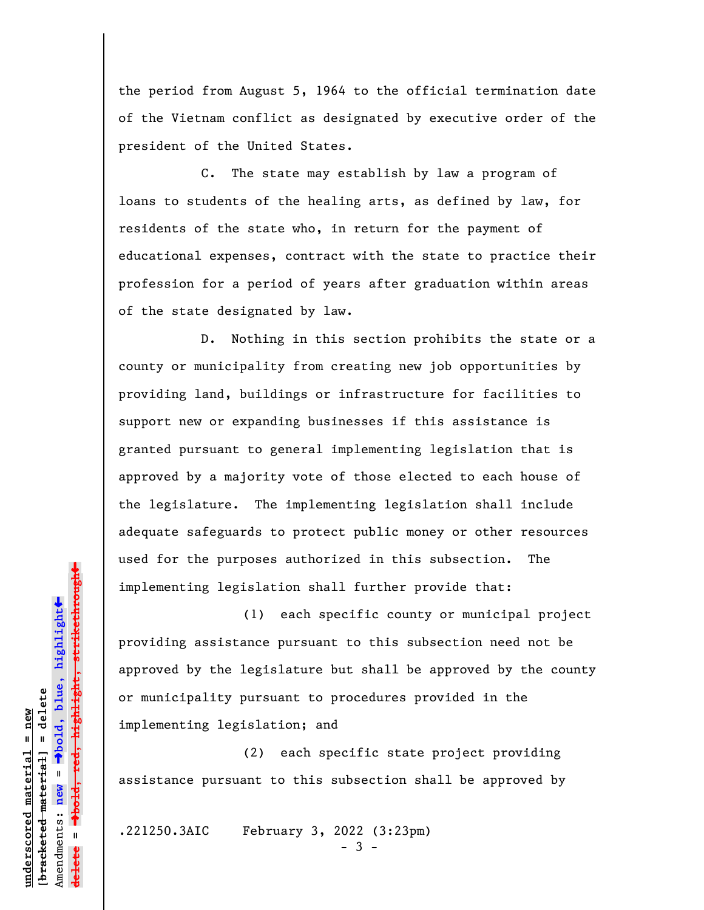the period from August 5, 1964 to the official termination date of the Vietnam conflict as designated by executive order of the president of the United States.

C. The state may establish by law a program of loans to students of the healing arts, as defined by law, for residents of the state who, in return for the payment of educational expenses, contract with the state to practice their profession for a period of years after graduation within areas of the state designated by law.

D. Nothing in this section prohibits the state or a county or municipality from creating new job opportunities by providing land, buildings or infrastructure for facilities to support new or expanding businesses if this assistance is granted pursuant to general implementing legislation that is approved by a majority vote of those elected to each house of the legislature. The implementing legislation shall include adequate safeguards to protect public money or other resources used for the purposes authorized in this subsection. The implementing legislation shall further provide that:

(1) each specific county or municipal project providing assistance pursuant to this subsection need not be approved by the legislature but shall be approved by the county or municipality pursuant to procedures provided in the implementing legislation; and

(2) each specific state project providing assistance pursuant to this subsection shall be approved by

.221250.3AIC February 3, 2022 (3:23pm)

 $3 -$ 

»º**bold, red, highlight, strikethrough**  $\rightarrow$ bold, red, highlight, strikethrough  $\ddot{\bullet}$ º**bold, blue, highlight** bracketed material] = delete **[bracketed material] = delete** inderscored material = new **underscored material = new** Amendments: **new** = Amendments: new = **delete =**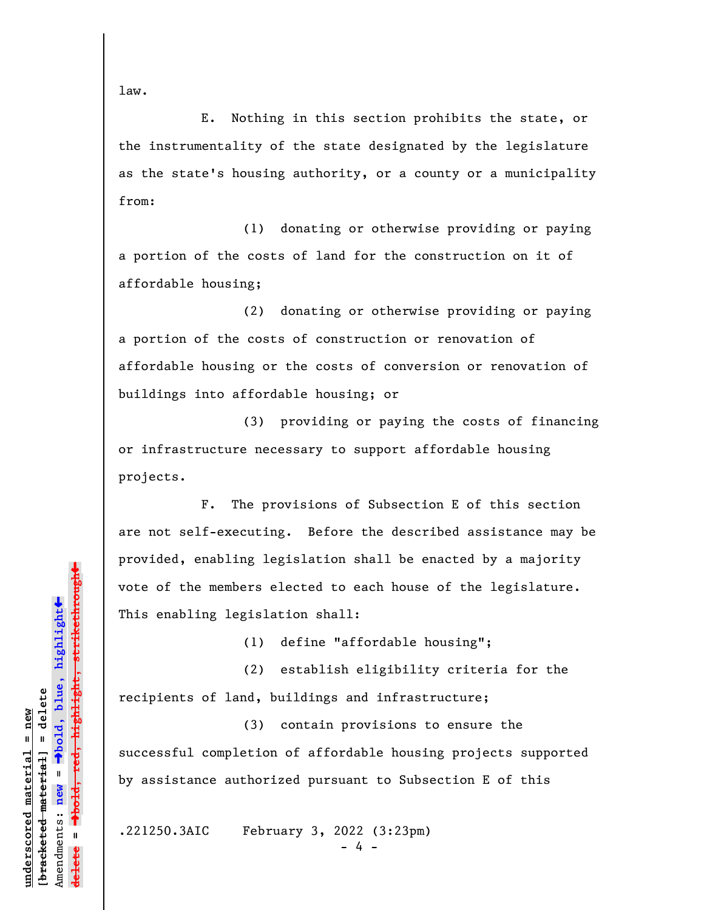law.

**underscored material = new [bracketed material] = delete**

bracketed material] = delete inderscored material = new

Amendments: **new** =

Amendments: new

 $\mathbf{I}$ 

**delete =**

º**bold, blue, highlight**

º**bold, red, highlight, strikethrough**

highlight, strikethrough

 $\ddot{\bullet}$ 

»

E. Nothing in this section prohibits the state, or the instrumentality of the state designated by the legislature as the state's housing authority, or a county or a municipality from:

(1) donating or otherwise providing or paying a portion of the costs of land for the construction on it of affordable housing;

(2) donating or otherwise providing or paying a portion of the costs of construction or renovation of affordable housing or the costs of conversion or renovation of buildings into affordable housing; or

(3) providing or paying the costs of financing or infrastructure necessary to support affordable housing projects.

F. The provisions of Subsection E of this section are not self-executing. Before the described assistance may be provided, enabling legislation shall be enacted by a majority vote of the members elected to each house of the legislature. This enabling legislation shall:

(1) define "affordable housing";

(2) establish eligibility criteria for the recipients of land, buildings and infrastructure;

(3) contain provisions to ensure the successful completion of affordable housing projects supported by assistance authorized pursuant to Subsection E of this

.221250.3AIC February 3, 2022 (3:23pm)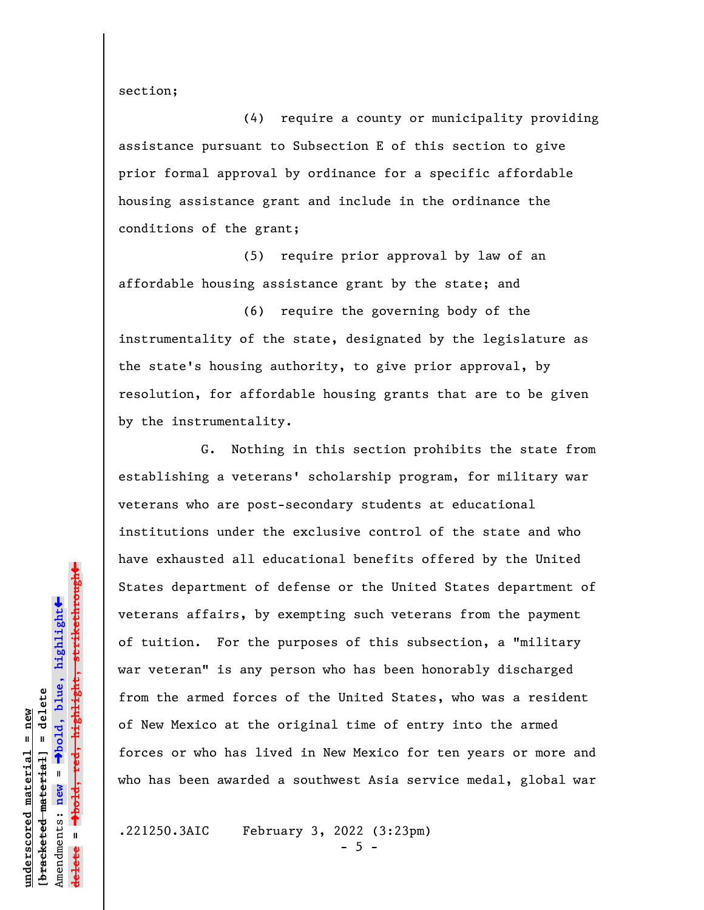section;

(4) require a county or municipality providing assistance pursuant to Subsection E of this section to give prior formal approval by ordinance for a specific affordable housing assistance grant and include in the ordinance the conditions of the grant;

(5) require prior approval by law of an affordable housing assistance grant by the state; and

(6) require the governing body of the instrumentality of the state, designated by the legislature as the state's housing authority, to give prior approval, by resolution, for affordable housing grants that are to be given by the instrumentality.

G. Nothing in this section prohibits the state from establishing a veterans' scholarship program, for military war veterans who are post-secondary students at educational institutions under the exclusive control of the state and who have exhausted all educational benefits offered by the United States department of defense or the United States department of veterans affairs, by exempting such veterans from the payment of tuition. For the purposes of this subsection, a "military war veteran" is any person who has been honorably discharged from the armed forces of the United States, who was a resident of New Mexico at the original time of entry into the armed forces or who has lived in New Mexico for ten years or more and who has been awarded a southwest Asia service medal, global war

.221250.3AIC February 3, 2022 (3:23pm)

 $-5 -$ 

» $\rightarrow$ bold, red, highlight, strikethrough º**bold, red, highlight, strikethrough**  $\ddot{\bullet}$ º**bold, blue, highlight**  $b$ racketed material] = delete **[bracketed material] = delete** inderscored material = new **underscored material = new** Amendments: **new** = Amendments: new = **delete =**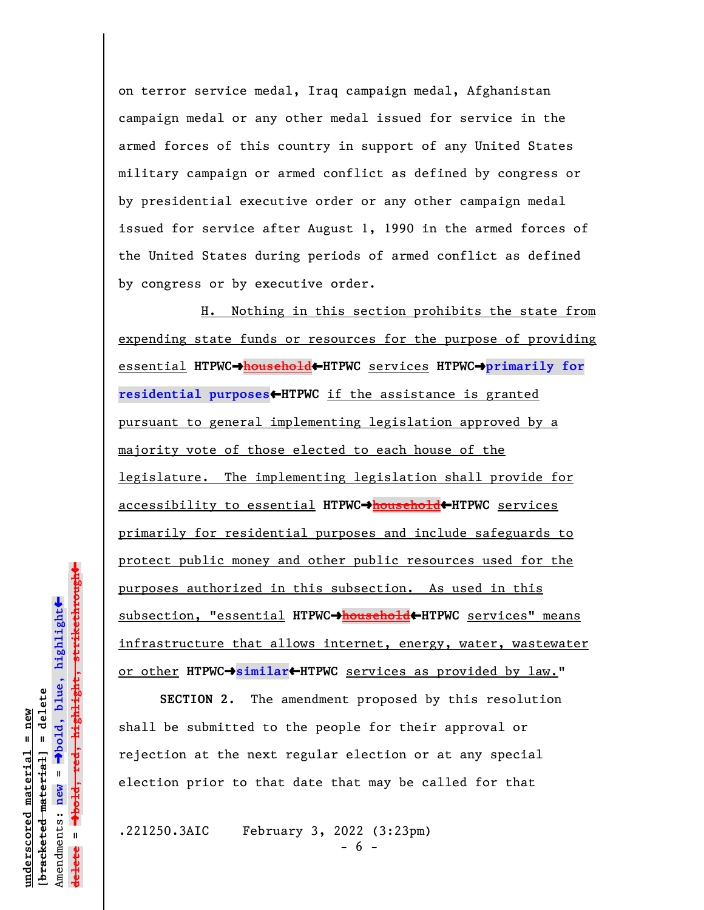on terror service medal, Iraq campaign medal, Afghanistan campaign medal or any other medal issued for service in the armed forces of this country in support of any United States military campaign or armed conflict as defined by congress or by presidential executive order or any other campaign medal issued for service after August 1, 1990 in the armed forces of the United States during periods of armed conflict as defined by congress or by executive order.

H. Nothing in this section prohibits the state from expending state funds or resources for the purpose of providing essential **HTPWC**º**household**»**HTPWC** services **HTPWC**º**primarily for residential purposes**»**HTPWC** if the assistance is granted pursuant to general implementing legislation approved by a majority vote of those elected to each house of the legislature. The implementing legislation shall provide for accessibility to essential **HTPWC**º**household**»**HTPWC** services primarily for residential purposes and include safeguards to protect public money and other public resources used for the purposes authorized in this subsection. As used in this subsection, "essential **HTPWC**º**household**»**HTPWC** services" means infrastructure that allows internet, energy, water, wastewater or other HTPWC $\rightarrow$ similar<br/>**+HTPWC** services as provided by law."

**SECTION 2.** The amendment proposed by this resolution shall be submitted to the people for their approval or rejection at the next regular election or at any special election prior to that date that may be called for that

.221250.3AIC February 3, 2022 (3:23pm)